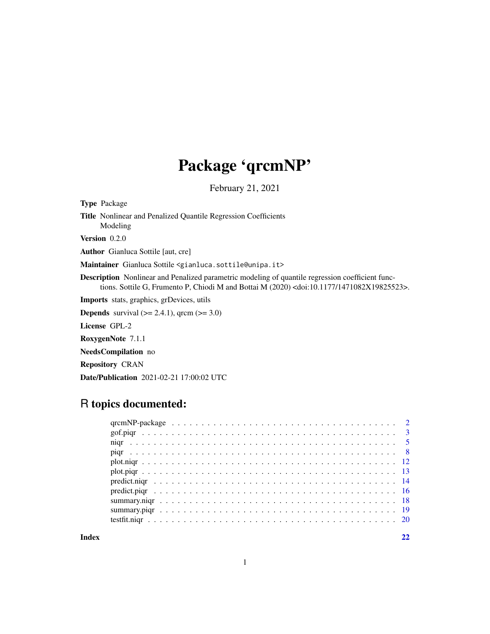## Package 'qrcmNP'

February 21, 2021

<span id="page-0-0"></span>Type Package Title Nonlinear and Penalized Quantile Regression Coefficients Modeling Version 0.2.0 Author Gianluca Sottile [aut, cre]

Maintainer Gianluca Sottile <gianluca.sottile@unipa.it>

Description Nonlinear and Penalized parametric modeling of quantile regression coefficient functions. Sottile G, Frumento P, Chiodi M and Bottai M (2020) <doi:10.1177/1471082X19825523>.

Imports stats, graphics, grDevices, utils

**Depends** survival  $(>= 2.4.1)$ , qrcm  $(>= 3.0)$ 

License GPL-2

RoxygenNote 7.1.1

NeedsCompilation no

Repository CRAN

Date/Publication 2021-02-21 17:00:02 UTC

## R topics documented:

**Index** [22](#page-21-0)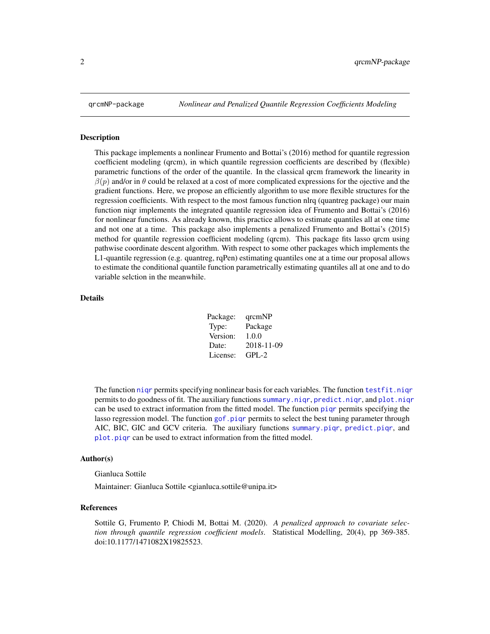<span id="page-1-0"></span>

#### Description

This package implements a nonlinear Frumento and Bottai's (2016) method for quantile regression coefficient modeling (qrcm), in which quantile regression coefficients are described by (flexible) parametric functions of the order of the quantile. In the classical qrcm framework the linearity in  $\beta(p)$  and/or in  $\theta$  could be relaxed at a cost of more complicated expressions for the ojective and the gradient functions. Here, we propose an efficiently algorithm to use more flexible structures for the regression coefficients. With respect to the most famous function nlrq (quantreg package) our main function niqr implements the integrated quantile regression idea of Frumento and Bottai's (2016) for nonlinear functions. As already known, this practice allows to estimate quantiles all at one time and not one at a time. This package also implements a penalized Frumento and Bottai's (2015) method for quantile regression coefficient modeling (qrcm). This package fits lasso qrcm using pathwise coordinate descent algorithm. With respect to some other packages which implements the L1-quantile regression (e.g. quantreg, rqPen) estimating quantiles one at a time our proposal allows to estimate the conditional quantile function parametrically estimating quantiles all at one and to do variable selction in the meanwhile.

#### Details

| Package: | qrcmNP     |
|----------|------------|
| Type:    | Package    |
| Version: | 1.0.0      |
| Date:    | 2018-11-09 |
| License: | $GPL-2$    |

The function nigr permits specifying nonlinear basis for each variables. The function testfit.nigr permits to do goodness of fit. The auxiliary functions [summary.niqr](#page-17-1), [predict.niqr](#page-13-1), and [plot.niqr](#page-11-1) can be used to extract information from the fitted model. The function [piqr](#page-7-1) permits specifying the lasso regression model. The function [gof.piqr](#page-2-1) permits to select the best tuning parameter through AIC, BIC, GIC and GCV criteria. The auxiliary functions [summary.piqr](#page-18-1), [predict.piqr](#page-15-1), and [plot.piqr](#page-12-1) can be used to extract information from the fitted model.

#### Author(s)

Gianluca Sottile

Maintainer: Gianluca Sottile <gianluca.sottile@unipa.it>

#### References

Sottile G, Frumento P, Chiodi M, Bottai M. (2020). *A penalized approach to covariate selection through quantile regression coefficient models*. Statistical Modelling, 20(4), pp 369-385. doi:10.1177/1471082X19825523.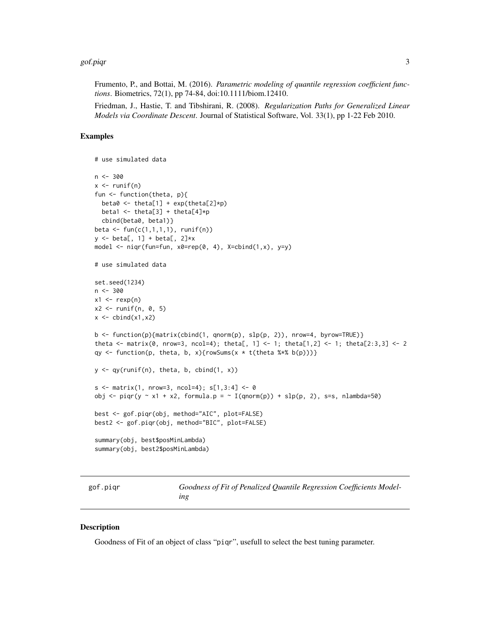#### <span id="page-2-0"></span>gof.piqr 3

Frumento, P., and Bottai, M. (2016). *Parametric modeling of quantile regression coefficient functions*. Biometrics, 72(1), pp 74-84, doi:10.1111/biom.12410.

Friedman, J., Hastie, T. and Tibshirani, R. (2008). *Regularization Paths for Generalized Linear Models via Coordinate Descent*. Journal of Statistical Software, Vol. 33(1), pp 1-22 Feb 2010.

## Examples

```
# use simulated data
n < -300x \leftarrow runif(n)fun <- function(theta, p){
  beta0 <- theta[1] + exp(theta[2]*p)
 beta1 <- theta[3] + theta[4]*p
  cbind(beta0, beta1)}
beta \leq fun(c(1,1,1,1), runif(n))
y \le - \text{beta}, 1] + beta[, 2]*x
model \leq niqr(fun=fun, x0=rep(0, 4), X=cbind(1,x), y=y)
# use simulated data
set.seed(1234)
n <- 300
x1 \leftarrow \text{rev}(n)x2 \le runif(n, 0, 5)
x \leftarrow \text{cbind}(x1, x2)b <- function(p){matrix(cbind(1, qnorm(p), slp(p, 2)), nrow=4, byrow=TRUE)}
theta <- matrix(0, nrow=3, ncol=4); theta[, 1] <- 1; theta[1,2] <- 1; theta[2:3,3] <- 2
qy <- function(p, theta, b, x){rowSums(x * t(theta %*% b(p)))}
y \leftarrow qy(runif(n), theta, b, chind(1, x))s \le matrix(1, nrow=3, ncol=4); s[1,3:4] \le 0obj <- piqr(y ~ x1 + x2, formula.p = ~ I(qnorm(p)) + slp(p, 2), s=s, nlambda=50)
best <- gof.piqr(obj, method="AIC", plot=FALSE)
best2 <- gof.piqr(obj, method="BIC", plot=FALSE)
summary(obj, best$posMinLambda)
summary(obj, best2$posMinLambda)
```
gof.piqr *Goodness of Fit of Penalized Quantile Regression Coefficients Modeling*

#### **Description**

Goodness of Fit of an object of class "piqr", usefull to select the best tuning parameter.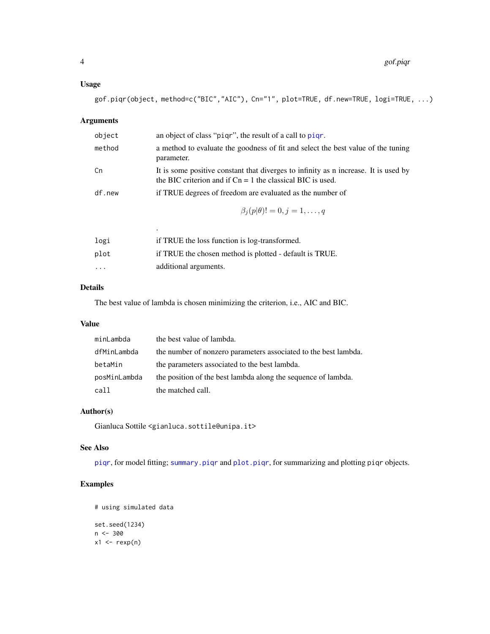## <span id="page-3-0"></span>Usage

gof.piqr(object, method=c("BIC","AIC"), Cn="1", plot=TRUE, df.new=TRUE, logi=TRUE, ...)

## Arguments

| object | an object of class "pigr", the result of a call to pigr.                                                                                            |
|--------|-----------------------------------------------------------------------------------------------------------------------------------------------------|
| method | a method to evaluate the goodness of fit and select the best value of the tuning<br>parameter.                                                      |
| Сn     | It is some positive constant that diverges to infinity as n increase. It is used by<br>the BIC criterion and if $Cn = 1$ the classical BIC is used. |
| df.new | if TRUE degrees of freedom are evaluated as the number of                                                                                           |
|        | $\beta_i(p \theta)!=0, j=1,\ldots,q$                                                                                                                |
|        | ٠                                                                                                                                                   |
| logi   | if TRUE the loss function is log-transformed.                                                                                                       |

| $+9.1$   | If Two D and ross randeron to rog transformed.          |
|----------|---------------------------------------------------------|
| plot     | if TRUE the chosen method is plotted - default is TRUE. |
| $\cdots$ | additional arguments.                                   |

## Details

The best value of lambda is chosen minimizing the criterion, i.e., AIC and BIC.

## Value

| minLambda    | the best value of lambda.                                       |
|--------------|-----------------------------------------------------------------|
| dfMinLambda  | the number of nonzero parameters associated to the best lambda. |
| betaMin      | the parameters associated to the best lambda.                   |
| posMinLambda | the position of the best lambda along the sequence of lambda.   |
| call         | the matched call.                                               |

## Author(s)

Gianluca Sottile <gianluca.sottile@unipa.it>

## See Also

[piqr](#page-7-1), for model fitting; [summary.piqr](#page-18-1) and [plot.piqr](#page-12-1), for summarizing and plotting piqr objects.

```
# using simulated data
set.seed(1234)
n < -300x1 \leftarrow \text{resp}(n)
```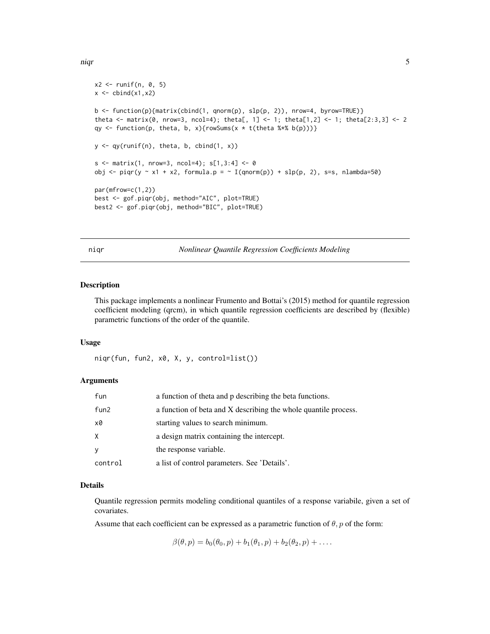```
x2 \le runif(n, 0, 5)
x \leftarrow \text{cbind}(x1, x2)b <- function(p){matrix(cbind(1, qnorm(p), slp(p, 2)), nrow=4, byrow=TRUE)}
theta <- matrix(0, nrow=3, ncol=4); theta[, 1] <- 1; theta[1,2] <- 1; theta[2:3,3] <- 2
qy <- function(p, theta, b, x){rowSums(x * t(theta %*% b(p)))}
y \leftarrow qy(runif(n), theta, b, chind(1, x))s \le matrix(1, nrow=3, ncol=4); s[1,3:4] \le 0obj \le- piqr(y \le x1 + x2, formula.p = \le I(qnorm(p)) + slp(p, 2), s=s, nlambda=50)
par(mfrow=c(1,2))
best <- gof.piqr(obj, method="AIC", plot=TRUE)
best2 <- gof.piqr(obj, method="BIC", plot=TRUE)
```
<span id="page-4-1"></span>niqr *Nonlinear Quantile Regression Coefficients Modeling*

#### Description

This package implements a nonlinear Frumento and Bottai's (2015) method for quantile regression coefficient modeling (qrcm), in which quantile regression coefficients are described by (flexible) parametric functions of the order of the quantile.

## Usage

niqr(fun, fun2, x0, X, y, control=list())

## **Arguments**

| fun              | a function of theta and p describing the beta functions.        |
|------------------|-----------------------------------------------------------------|
| fun <sub>2</sub> | a function of beta and X describing the whole quantile process. |
| x0               | starting values to search minimum.                              |
| X                | a design matrix containing the intercept.                       |
| y                | the response variable.                                          |
| control          | a list of control parameters. See 'Details'.                    |

#### Details

Quantile regression permits modeling conditional quantiles of a response variabile, given a set of covariates.

Assume that each coefficient can be expressed as a parametric function of  $\theta$ ,  $p$  of the form:

 $\beta(\theta, p) = b_0(\theta_0, p) + b_1(\theta_1, p) + b_2(\theta_2, p) + \dots$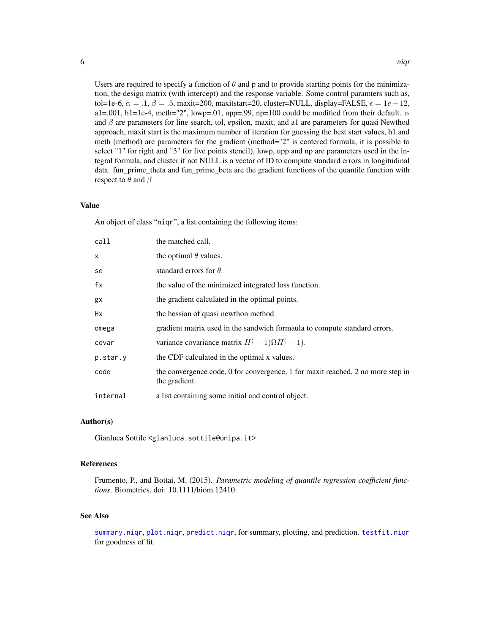<span id="page-5-0"></span>Users are required to specify a function of  $\theta$  and p and to provide starting points for the minimization, the design matrix (with intercept) and the response variable. Some control paramters such as, tol=1e-6,  $\alpha = .1, \beta = .5$ , maxit=200, maxitstart=20, cluster=NULL, display=FALSE,  $\epsilon = 1e-12$ , a1=.001, h1=1e-4, meth="2", lowp=.01, upp=.99, np=100 could be modified from their default.  $\alpha$ and  $\beta$  are parameters for line search, tol, epsilon, maxit, and a1 are parameters for quasi Newthod approach, maxit start is the maximum number of iteration for guessing the best start values, h1 and meth (method) are parameters for the gradient (method="2" is centered formula, it is possible to select "1" for right and "3" for five points stencil), lowp, upp and np are parameters used in the integral formula, and cluster if not NULL is a vector of ID to compute standard errors in longitudinal data. fun\_prime\_theta and fun\_prime\_beta are the gradient functions of the quantile function with respect to  $\theta$  and  $\beta$ 

#### Value

An object of class "niqr", a list containing the following items:

| the matched call.                                                                                |
|--------------------------------------------------------------------------------------------------|
| the optimal $\theta$ values.                                                                     |
| standard errors for $\theta$ .                                                                   |
| the value of the minimized integrated loss function.                                             |
| the gradient calculated in the optimal points.                                                   |
| the hessian of quasi newthon method                                                              |
| gradient matrix used in the sandwich formaula to compute standard errors.                        |
| variance covariance matrix $H^{(-1)}\Omega H^{(-1)}$ .                                           |
| the CDF calculated in the optimal x values.                                                      |
| the convergence code, 0 for convergence, 1 for maxit reached, 2 no more step in<br>the gradient. |
| a list containing some initial and control object.                                               |
|                                                                                                  |

## Author(s)

Gianluca Sottile <gianluca.sottile@unipa.it>

#### References

Frumento, P., and Bottai, M. (2015). *Parametric modeling of quantile regression coefficient functions*. Biometrics, doi: 10.1111/biom.12410.

#### See Also

[summary.niqr](#page-17-1), [plot.niqr](#page-11-1), [predict.niqr](#page-13-1), for summary, plotting, and prediction. [testfit.niqr](#page-19-1) for goodness of fit.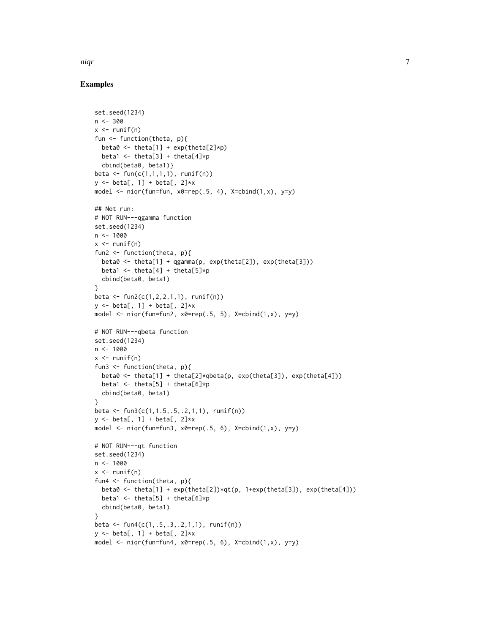niqr 7

```
set.seed(1234)
n < -300x \leftarrow runif(n)fun <- function(theta, p){
  beta0 <- theta[1] + exp(theta[2]*p)
  beta1 \le theta[3] + theta[4]*p
  cbind(beta0, beta1)}
beta <- fun(c(1,1,1,1), runif(n))
y \le - beta[, 1] + beta[, 2]*x
model \leq niqr(fun=fun, x0=rep(.5, 4), X=cbind(1,x), y=y)
## Not run:
# NOT RUN---qgamma function
set.seed(1234)
n < -1000x \leftarrow runif(n)fun2 <- function(theta, p){
  beta0 <- theta[1] + qgamma(p, exp(theta[2]), exp(theta[3]))
  beta1 \le theta[4] + theta[5]*p
 cbind(beta0, beta1)
}
beta <- fun2(c(1,2,2,1,1), runif(n))
y \le - beta[, 1] + beta[, 2]*x
model \leq niqr(fun=fun2, x0=rep(.5, 5), X=cbind(1,x), y=y)
# NOT RUN---qbeta function
set.seed(1234)
n < -1000x \leftarrow runif(n)fun3 <- function(theta, p){
  beta0 <- theta[1] + theta[2]*qbeta(p, exp(theta[3]), exp(theta[4]))
  beta1 \le theta[5] + theta[6]*p
 cbind(beta0, beta1)
}
beta <- fun3(c(1,1.5,.5,.2,1,1), runif(n))
y \le - beta[, 1] + beta[, 2]*x
model \leq niqr(fun=fun3, x0=rep(.5, 6), X=cbind(1,x), y=y)
# NOT RUN---qt function
set.seed(1234)
n < - 1000x \leftarrow runif(n)fun4 <- function(theta, p){
  beta0 <- theta[1] + exp(theta[2])*qt(p, 1+exp(theta[3]), exp(theta[4]))
  beta1 <- theta[5] + theta[6]*p
  cbind(beta0, beta1)
}
beta <- fun4(c(1,.5,.3,.2,1,1), runif(n))
y \leftarrow \text{beta}, 1] + beta[, 2]*x
model \leq niqr(fun=fun4, x0=rep(.5, 6), X=cbind(1,x), y=y)
```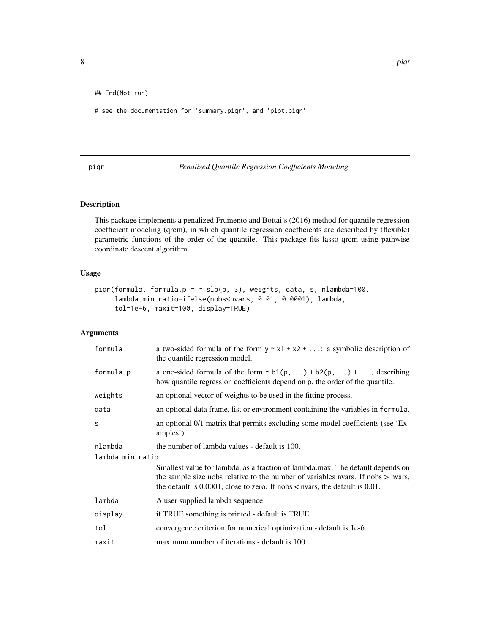<span id="page-7-0"></span>## End(Not run)

# see the documentation for 'summary.piqr', and 'plot.piqr'

<span id="page-7-1"></span>piqr *Penalized Quantile Regression Coefficients Modeling*

## Description

This package implements a penalized Frumento and Bottai's (2016) method for quantile regression coefficient modeling (qrcm), in which quantile regression coefficients are described by (flexible) parametric functions of the order of the quantile. This package fits lasso qrcm using pathwise coordinate descent algorithm.

## Usage

```
piqr(formula, formula.p = \sim slp(p, 3), weights, data, s, nlambda=100,
     lambda.min.ratio=ifelse(nobs<nvars, 0.01, 0.0001), lambda,
     tol=1e-6, maxit=100, display=TRUE)
```
## Arguments

| formula          | a two-sided formula of the form $y \sim x1 + x2 + $ : a symbolic description of<br>the quantile regression model.                                                                                                                                           |
|------------------|-------------------------------------------------------------------------------------------------------------------------------------------------------------------------------------------------------------------------------------------------------------|
| formula.p        | a one-sided formula of the form $\sim b1(p,) + b2(p,) + $ , describing<br>how quantile regression coefficients depend on p, the order of the quantile.                                                                                                      |
| weights          | an optional vector of weights to be used in the fitting process.                                                                                                                                                                                            |
| data             | an optional data frame, list or environment containing the variables in formula.                                                                                                                                                                            |
| S                | an optional 0/1 matrix that permits excluding some model coefficients (see 'Ex-<br>amples').                                                                                                                                                                |
| nlambda          | the number of lambda values - default is 100.                                                                                                                                                                                                               |
| lambda.min.ratio |                                                                                                                                                                                                                                                             |
|                  | Smallest value for lambda, as a fraction of lambda.max. The default depends on<br>the sample size nobs relative to the number of variables nyars. If nobs > nyars,<br>the default is $0.0001$ , close to zero. If nobs $\lt$ nvars, the default is $0.01$ . |
| lambda           | A user supplied lambda sequence.                                                                                                                                                                                                                            |
| display          | if TRUE something is printed - default is TRUE.                                                                                                                                                                                                             |
| tol              | convergence criterion for numerical optimization - default is 1e-6.                                                                                                                                                                                         |
| maxit            | maximum number of iterations - default is 100.                                                                                                                                                                                                              |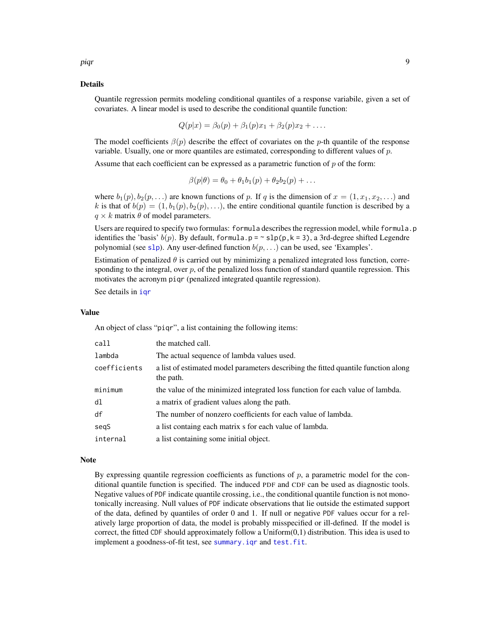## <span id="page-8-0"></span>Details

Quantile regression permits modeling conditional quantiles of a response variabile, given a set of covariates. A linear model is used to describe the conditional quantile function:

$$
Q(p|x) = \beta_0(p) + \beta_1(p)x_1 + \beta_2(p)x_2 + \dots
$$

The model coefficients  $\beta(p)$  describe the effect of covariates on the p-th quantile of the response variable. Usually, one or more quantiles are estimated, corresponding to different values of  $p$ .

Assume that each coefficient can be expressed as a parametric function of  $p$  of the form:

$$
\beta(p|\theta) = \theta_0 + \theta_1 b_1(p) + \theta_2 b_2(p) + \dots
$$

where  $b_1(p), b_2(p, \ldots)$  are known functions of p. If q is the dimension of  $x = (1, x_1, x_2, \ldots)$  and k is that of  $b(p) = (1, b_1(p), b_2(p), \ldots)$ , the entire conditional quantile function is described by a  $q \times k$  matrix  $\theta$  of model parameters.

Users are required to specify two formulas: formula describes the regression model, while formula.p identifies the 'basis'  $b(p)$ . By default, formula.p =  $\sim$  slp(p, k = 3), a 3rd-degree shifted Legendre polynomial (see [slp](#page-0-0)). Any user-defined function  $b(p, \ldots)$  can be used, see 'Examples'.

Estimation of penalized  $\theta$  is carried out by minimizing a penalized integrated loss function, corresponding to the integral, over  $p$ , of the penalized loss function of standard quantile regression. This motivates the acronym piqr (penalized integrated quantile regression).

See details in [iqr](#page-0-0)

#### Value

An object of class "piqr", a list containing the following items:

| call         | the matched call.                                                                               |
|--------------|-------------------------------------------------------------------------------------------------|
| lambda       | The actual sequence of lambda values used.                                                      |
| coefficients | a list of estimated model parameters describing the fitted quantile function along<br>the path. |
| minimum      | the value of the minimized integrated loss function for each value of lambda.                   |
| dl           | a matrix of gradient values along the path.                                                     |
| df           | The number of nonzero coefficients for each value of lambda.                                    |
| segS         | a list containg each matrix s for each value of lambda.                                         |
| internal     | a list containing some initial object.                                                          |

#### Note

By expressing quantile regression coefficients as functions of  $p$ , a parametric model for the conditional quantile function is specified. The induced PDF and CDF can be used as diagnostic tools. Negative values of PDF indicate quantile crossing, i.e., the conditional quantile function is not monotonically increasing. Null values of PDF indicate observations that lie outside the estimated support of the data, defined by quantiles of order 0 and 1. If null or negative PDF values occur for a relatively large proportion of data, the model is probably misspecified or ill-defined. If the model is correct, the fitted CDF should approximately follow a  $Uniform(0,1)$  distribution. This idea is used to implement a goodness-of-fit test, see [summary.iqr](#page-0-0) and [test.fit](#page-0-0).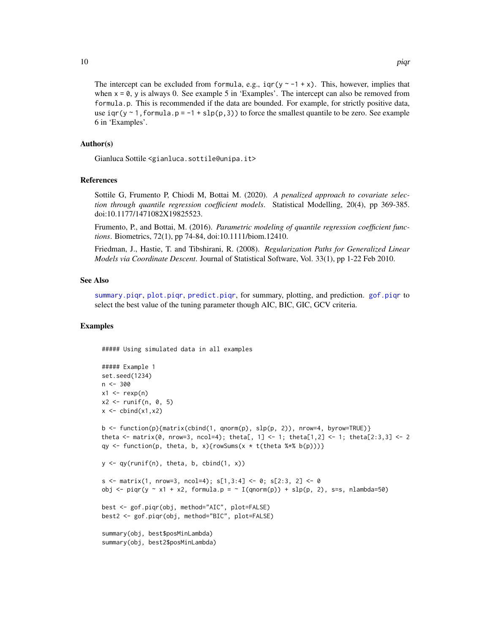The intercept can be excluded from formula, e.g.,  $iqr(y \sim -1 + x)$ . This, however, implies that when  $x = 0$ , y is always 0. See example 5 in 'Examples'. The intercept can also be removed from formula.p. This is recommended if the data are bounded. For example, for strictly positive data, use iqr(y ~ 1, formula.p =  $-1 +$  slp(p, 3)) to force the smallest quantile to be zero. See example 6 in 'Examples'.

## Author(s)

Gianluca Sottile <gianluca.sottile@unipa.it>

## References

Sottile G, Frumento P, Chiodi M, Bottai M. (2020). *A penalized approach to covariate selection through quantile regression coefficient models*. Statistical Modelling, 20(4), pp 369-385. doi:10.1177/1471082X19825523.

Frumento, P., and Bottai, M. (2016). *Parametric modeling of quantile regression coefficient functions*. Biometrics, 72(1), pp 74-84, doi:10.1111/biom.12410.

Friedman, J., Hastie, T. and Tibshirani, R. (2008). *Regularization Paths for Generalized Linear Models via Coordinate Descent*. Journal of Statistical Software, Vol. 33(1), pp 1-22 Feb 2010.

#### See Also

[summary.piqr](#page-18-1), [plot.piqr](#page-12-1), [predict.piqr](#page-15-1), for summary, plotting, and prediction. [gof.piqr](#page-2-1) to select the best value of the tuning parameter though AIC, BIC, GIC, GCV criteria.

#### Examples

##### Using simulated data in all examples

```
##### Example 1
set.seed(1234)
n <- 300
x1 \leftarrow \text{revp}(n)x2 \le runif(n, 0, 5)
x \leftarrow \text{cbind}(x1, x2)b <- function(p){matrix(cbind(1, qnorm(p), slp(p, 2)), nrow=4, byrow=TRUE)}
theta \leq matrix(0, nrow=3, ncol=4); theta[, 1] \leq 1; theta[1,2] \leq 1; theta[2:3,3] \leq 2
qy \leq function(p, theta, b, x){rowSums(x \star t(theta %\nq b(p)))}
y \leq -qy(runif(n), theta, b, child(1, x))s \le matrix(1, nrow=3, ncol=4); s[1,3:4] \le 0; s[2:3, 2] \le 0obj \le- piqr(y \le x1 + x2, formula.p = \le I(qnorm(p)) + slp(p, 2), s=s, nlambda=50)
best <- gof.piqr(obj, method="AIC", plot=FALSE)
best2 <- gof.piqr(obj, method="BIC", plot=FALSE)
summary(obj, best$posMinLambda)
summary(obj, best2$posMinLambda)
```
<span id="page-9-0"></span>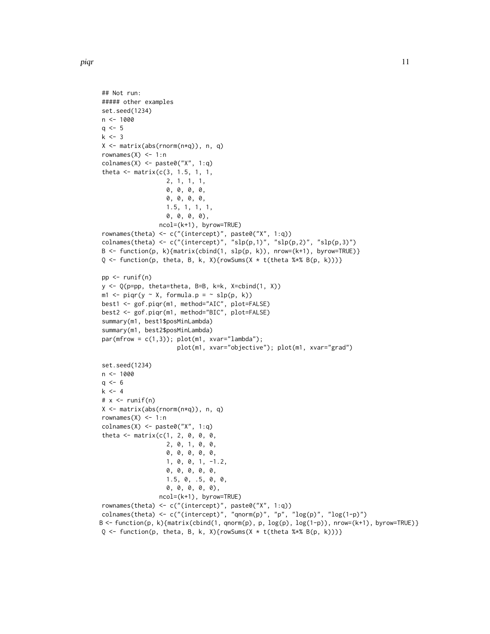```
## Not run:
##### other examples
set.seed(1234)
n <- 1000
q \le -5k \le -3X <- matrix(abs(rnorm(n*q)), n, q)
rownames(X) <- 1:n
\text{colnames}(X) \leq \text{past} \Theta("X", 1:q)theta \leq matrix(c(3, 1.5, 1, 1,
                    2, 1, 1, 1,
                    0, 0, 0, 0,
                    0, 0, 0, 0,
                    1.5, 1, 1, 1,
                    0, 0, 0, 0),
                  ncol=(k+1), byrow=TRUE)
rownames(theta) <- c("(intercept)", paste0("X", 1:q))
colnames(theta) <- c("(intercept)", "slp(p,1)", "slp(p,2)", "slp(p,3)")
B \leftarrow function(p, k){matrix(cbind(1, slp(p, k)), nrow=(k+1), byrow=TRUE)}
Q \leftarrow function(p, theta, B, k, X){rowSums(X * t(theta %*% B(p, k)))}
pp <- runif(n)
y <- Q(p=pp, theta=theta, B=B, k=k, X=cbind(1, X))
m1 \leq -\text{pigr}(y \sim X, \text{formula}.p = \sim \text{slp}(p, k))best1 <- gof.piqr(m1, method="AIC", plot=FALSE)
best2 <- gof.piqr(m1, method="BIC", plot=FALSE)
summary(m1, best1$posMinLambda)
summary(m1, best2$posMinLambda)
par(mfrow = c(1,3)); plot(m1, xvar="lambdambda');plot(m1, xvar="objective"); plot(m1, xvar="grad")
set.seed(1234)
n < - 1000q \le -6k \le -4# x \leftarrow runif(n)X <- matrix(abs(rnorm(n*q)), n, q)
rownames(X) <- 1:n
\text{colnames}(X) \leq \text{past}(\text{''X''}, 1:q)theta \leq matrix(c(1, 2, 0, 0, 0,
                    2, 0, 1, 0, 0,
                    0, 0, 0, 0, 0,
                    1, 0, 0, 1, -1.2,
                    0, 0, 0, 0, 0,
                    1.5, 0, .5, 0, 0,
                    0, 0, 0, 0, 0),
                  ncol=(k+1), byrow=TRUE)
rownames(theta) <- c("(intercept)", paste0("X", 1:q))
colnames(theta) <- c("(intercept)", "qnorm(p)", "p", "\log(p)", "\log(1-p)")
B <- function(p, k){matrix(cbind(1, qnorm(p), p, log(p), log(1-p)), nrow=(k+1), byrow=TRUE)}
Q \leftarrow function(p, theta, B, k, X){rowSums(X * t(theta %*% B(p, k)))}
```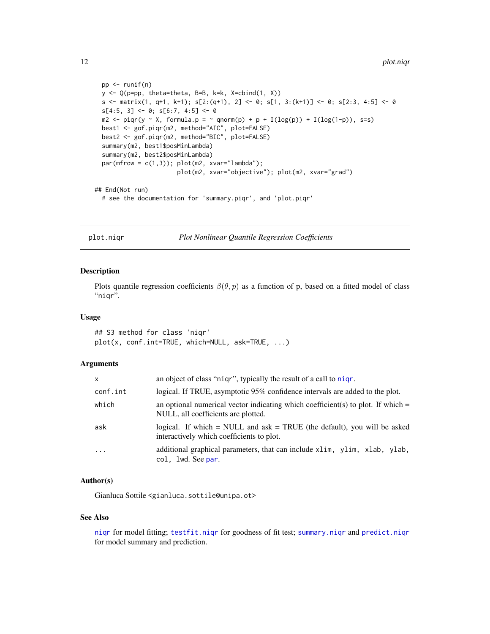```
pp <- runif(n)
 y <- Q(p=pp, theta=theta, B=B, k=k, X=cbind(1, X))
 s <- matrix(1, q+1, k+1); s[2:(q+1), 2] <- 0; s[1, 3:(k+1)] <- 0; s[2:3, 4:5] <- 0
 s[4:5, 3] \leftarrow 0; s[6:7, 4:5] \leftarrow 0m2 \leq piqr(y \sim X, formula.p = \sim qnorm(p) + p + I(log(p)) + I(log(1-p)), s=s)
 best1 <- gof.piqr(m2, method="AIC", plot=FALSE)
 best2 <- gof.piqr(m2, method="BIC", plot=FALSE)
 summary(m2, best1$posMinLambda)
 summary(m2, best2$posMinLambda)
 par(mfrow = c(1,3)); plot(m2, xvar="lambdambda');plot(m2, xvar="objective"); plot(m2, xvar="grad")
## End(Not run)
 # see the documentation for 'summary.piqr', and 'plot.piqr'
```
<span id="page-11-1"></span>plot.niqr *Plot Nonlinear Quantile Regression Coefficients*

#### Description

Plots quantile regression coefficients  $\beta(\theta, p)$  as a function of p, based on a fitted model of class "niqr".

#### Usage

## S3 method for class 'niqr' plot(x, conf.int=TRUE, which=NULL, ask=TRUE, ...)

## Arguments

| x        | an object of class "nigr", typically the result of a call to nigr.                                                        |
|----------|---------------------------------------------------------------------------------------------------------------------------|
| conf.int | logical. If TRUE, asymptotic 95% confidence intervals are added to the plot.                                              |
| which    | an optional numerical vector indicating which coefficient(s) to plot. If which $=$<br>NULL, all coefficients are plotted. |
| ask      | logical. If which $=$ NULL and ask $=$ TRUE (the default), you will be asked<br>interactively which coefficients to plot. |
| .        | additional graphical parameters, that can include xlim, ylim, xlab, ylab,<br>col, 1wd. See par.                           |

## Author(s)

Gianluca Sottile <gianluca.sottile@unipa.ot>

#### See Also

[niqr](#page-4-1) for model fitting; [testfit.niqr](#page-19-1) for goodness of fit test; [summary.niqr](#page-17-1) and [predict.niqr](#page-13-1) for model summary and prediction.

<span id="page-11-0"></span>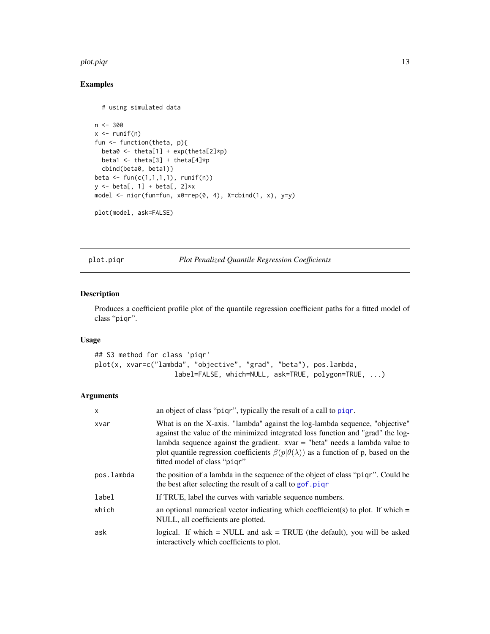#### <span id="page-12-0"></span>plot.piqr 13

## Examples

```
# using simulated data
n < -300x \leftarrow runif(n)fun <- function(theta, p){
 beta0 <- theta[1] + exp(theta[2]*p)
 beta1 <- theta[3] + theta[4]*p
  cbind(beta0, beta1)}
beta <- fun(c(1,1,1,1), runif(n))
y \leftarrow \text{beta}, 1] + beta[, 2]*x
model <- niqr(fun=fun, x0=rep(0, 4), X=cbind(1, x), y=y)
plot(model, ask=FALSE)
```
<span id="page-12-1"></span>plot.piqr *Plot Penalized Quantile Regression Coefficients*

## Description

Produces a coefficient profile plot of the quantile regression coefficient paths for a fitted model of class "piqr".

## Usage

```
## S3 method for class 'piqr'
plot(x, xvar=c("lambda", "objective", "grad", "beta"), pos.lambda,
                    label=FALSE, which=NULL, ask=TRUE, polygon=TRUE, ...)
```
## Arguments

| X          | an object of class "pigr", typically the result of a call to pigr.                                                                                                                                                                                                                                                                                                                    |
|------------|---------------------------------------------------------------------------------------------------------------------------------------------------------------------------------------------------------------------------------------------------------------------------------------------------------------------------------------------------------------------------------------|
| xvar       | What is on the X-axis. "lambda" against the log-lambda sequence, "objective"<br>against the value of the minimized integrated loss function and "grad" the log-<br>lambda sequence against the gradient. $xvar = "beta"$ needs a lambda value to<br>plot quantile regression coefficients $\beta(p \theta(\lambda))$ as a function of p, based on the<br>fitted model of class "pigr" |
| pos.lambda | the position of a lambda in the sequence of the object of class "pigr". Could be<br>the best after selecting the result of a call to gof. piq                                                                                                                                                                                                                                         |
| label      | If TRUE, label the curves with variable sequence numbers.                                                                                                                                                                                                                                                                                                                             |
| which      | an optional numerical vector indicating which coefficient(s) to plot. If which $=$<br>NULL, all coefficients are plotted.                                                                                                                                                                                                                                                             |
| ask        | logical. If which $=$ NULL and ask $=$ TRUE (the default), you will be asked<br>interactively which coefficients to plot.                                                                                                                                                                                                                                                             |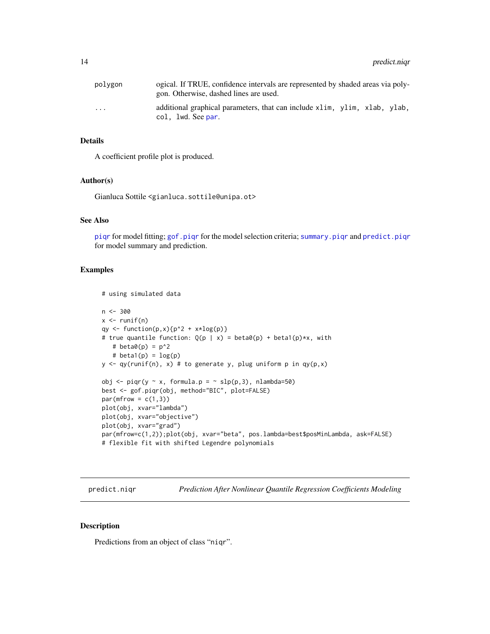<span id="page-13-0"></span>

| polvgon                 | ogical. If TRUE, confidence intervals are represented by shaded areas via poly-<br>gon. Otherwise, dashed lines are used. |
|-------------------------|---------------------------------------------------------------------------------------------------------------------------|
| $\cdot$ $\cdot$ $\cdot$ | additional graphical parameters, that can include x1im, y1im, x1ab, y1ab,<br>col, lwd. See par.                           |

## Details

A coefficient profile plot is produced.

## Author(s)

Gianluca Sottile <gianluca.sottile@unipa.ot>

## See Also

[piqr](#page-7-1) for model fitting; [gof.piqr](#page-2-1) for the model selection criteria; [summary.piqr](#page-18-1) and [predict.piqr](#page-15-1) for model summary and prediction.

#### Examples

```
# using simulated data
n <- 300
x \leftarrow runif(n)qy \leftarrow function(p,x){p^2 + x*log(p)}
# true quantile function: Q(p | x) = beta\theta(p) + beta1(p) *x, with
   # beta\theta(p) = p^2# beta1(p) = log(p)y \leq -qy(runif(n), x) \neq to generate y, plug uniform p in qy(p,x)
obj <- piqr(y ~ x, formula.p = \sim slp(p,3), nlambda=50)
best <- gof.piqr(obj, method="BIC", plot=FALSE)
par(mfrow = c(1,3))plot(obj, xvar="lambda")
plot(obj, xvar="objective")
plot(obj, xvar="grad")
par(mfrow=c(1,2));plot(obj, xvar="beta", pos.lambda=best$posMinLambda, ask=FALSE)
# flexible fit with shifted Legendre polynomials
```
<span id="page-13-1"></span>predict.niqr *Prediction After Nonlinear Quantile Regression Coefficients Modeling*

#### Description

Predictions from an object of class "niqr".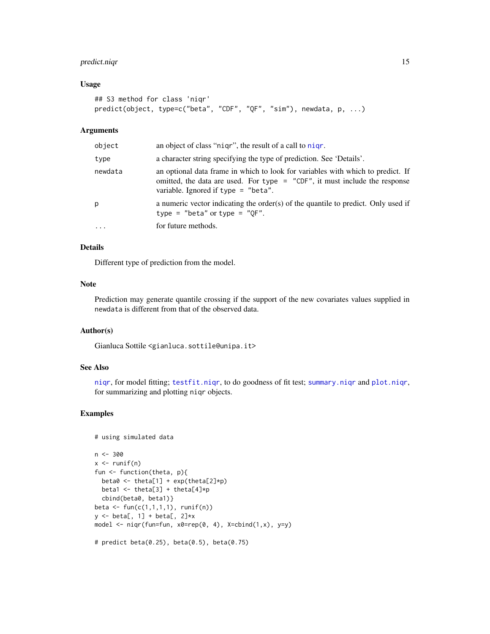## <span id="page-14-0"></span>predict.niqr 15

## Usage

```
## S3 method for class 'niqr'
predict(object, type=c("beta", "CDF", "QF", "sim"), newdata, p, ...)
```
#### Arguments

| object     | an object of class "nigr", the result of a call to nigr.                                                                                                                                                 |
|------------|----------------------------------------------------------------------------------------------------------------------------------------------------------------------------------------------------------|
| type       | a character string specifying the type of prediction. See 'Details'.                                                                                                                                     |
| newdata    | an optional data frame in which to look for variables with which to predict. If<br>omitted, the data are used. For type $=$ "CDF", it must include the response<br>variable. Ignored if $type = "beta".$ |
| p          | a numeric vector indicating the order(s) of the quantile to predict. Only used if<br>type = "beta" or type = " $QF$ ".                                                                                   |
| $\ddots$ . | for future methods.                                                                                                                                                                                      |

## Details

Different type of prediction from the model.

#### Note

Prediction may generate quantile crossing if the support of the new covariates values supplied in newdata is different from that of the observed data.

## Author(s)

Gianluca Sottile <gianluca.sottile@unipa.it>

## See Also

[niqr](#page-4-1), for model fitting; [testfit.niqr](#page-19-1), to do goodness of fit test; [summary.niqr](#page-17-1) and [plot.niqr](#page-11-1), for summarizing and plotting niqr objects.

```
# using simulated data
n < -300x \leftarrow runif(n)fun <- function(theta, p){
 beta0 <- theta[1] + exp(theta[2]*p)
 beta1 <- theta[3] + theta[4]*p
  cbind(beta0, beta1)}
beta <- fun(c(1,1,1,1), runif(n))
y \leftarrow \text{beta}, 1] + beta[, 2]*x
model \leq niqr(fun=fun, x0=rep(0, 4), X=cbind(1,x), y=y)
# predict beta(0.25), beta(0.5), beta(0.75)
```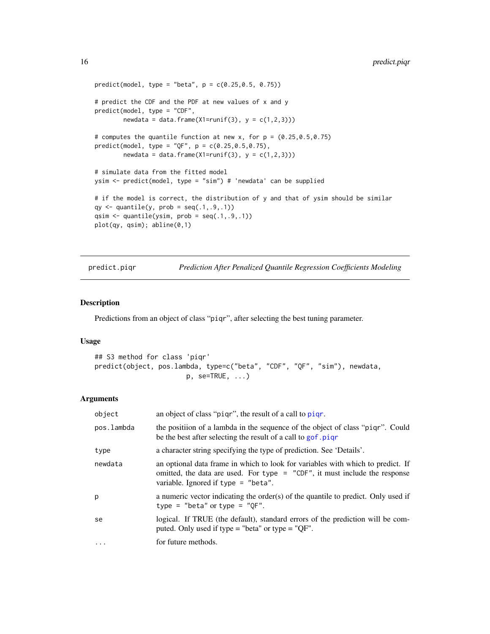```
predict(model, type = "beta", p = c(0.25, 0.5, 0.75))# predict the CDF and the PDF at new values of x and y
predict(model, type = "CDF",
        newdata = data.frame(X1 = runif(3), y = c(1,2,3)))
# computes the quantile function at new x, for p = (0.25, 0.5, 0.75)predict(model, type = "QF", p = c(0.25, 0.5, 0.75),
        newdata = data.frame(X1 = runif(3), y = c(1,2,3)))
# simulate data from the fitted model
ysim <- predict(model, type = "sim") # 'newdata' can be supplied
# if the model is correct, the distribution of y and that of ysim should be similar
qy \leq quantile(y, prob = seq(.1,.9,.1))
qsim \leq quantile(ysim, prob = seq(.1,.9,.1))
plot(qy, qsim); abline(0,1)
```
<span id="page-15-1"></span>predict.piqr *Prediction After Penalized Quantile Regression Coefficients Modeling*

## Description

Predictions from an object of class "piqr", after selecting the best tuning parameter.

## Usage

```
## S3 method for class 'piqr'
predict(object, pos.lambda, type=c("beta", "CDF", "QF", "sim"), newdata,
                       p. se=TRUE, ...)
```
#### Arguments

| object            | an object of class "pigr", the result of a call to pigr.                                                                                                                                                 |
|-------------------|----------------------------------------------------------------------------------------------------------------------------------------------------------------------------------------------------------|
| pos.lambda        | the positiion of a lambda in the sequence of the object of class "piqr". Could<br>be the best after selecting the result of a call to gof.piqr                                                           |
| type              | a character string specifying the type of prediction. See 'Details'.                                                                                                                                     |
| newdata           | an optional data frame in which to look for variables with which to predict. If<br>omitted, the data are used. For type $=$ "CDF", it must include the response<br>variable. Ignored if type $=$ "beta". |
| p                 | a numeric vector indicating the order(s) of the quantile to predict. Only used if<br>type = "beta" or type = " $OF$ ".                                                                                   |
| se                | logical. If TRUE (the default), standard errors of the prediction will be com-<br>puted. Only used if type = "beta" or type = "QF".                                                                      |
| $\cdot\cdot\cdot$ | for future methods.                                                                                                                                                                                      |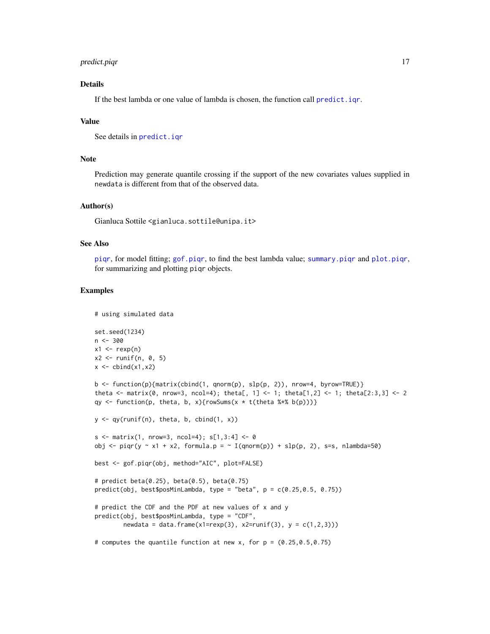## <span id="page-16-0"></span>predict.piqr 17

## Details

If the best lambda or one value of lambda is chosen, the function call [predict.iqr](#page-0-0).

## Value

```
See details in predict.iqr
```
## Note

Prediction may generate quantile crossing if the support of the new covariates values supplied in newdata is different from that of the observed data.

## Author(s)

Gianluca Sottile <gianluca.sottile@unipa.it>

## See Also

[piqr](#page-7-1), for model fitting; [gof.piqr](#page-2-1), to find the best lambda value; [summary.piqr](#page-18-1) and [plot.piqr](#page-12-1), for summarizing and plotting piqr objects.

```
# using simulated data
set.seed(1234)
n < -300x1 \leftarrow \text{revp}(n)x2 \leftarrow runif(n, 0, 5)x \leftarrow \text{cbind}(x1, x2)b <- function(p){matrix(cbind(1, qnorm(p), slp(p, 2)), nrow=4, byrow=TRUE)}
theta <- matrix(0, nrow=3, ncol=4); theta[, 1] <- 1; theta[1,2] <- 1; theta[2:3,3] <- 2
qy \leq function(p, theta, b, x){rowSums(x \star t(theta %\nq\ b(p)))}
y \leq -qy(runif(n), theta, b, child(1, x))s \le matrix(1, nrow=3, ncol=4); s[1,3:4] \le 0obj \le- piqr(y \le x1 + x2, formula.p = \le I(qnorm(p)) + slp(p, 2), s=s, nlambda=50)
best <- gof.piqr(obj, method="AIC", plot=FALSE)
# predict beta(0.25), beta(0.5), beta(0.75)
predict(obj, best$posMinLambda, type = "beta", p = c(0.25, 0.5, 0.75))# predict the CDF and the PDF at new values of x and y
predict(obj, best$posMinLambda, type = "CDF",
        newdata = data frame(x1 = resp(3), x2 = runif(3), y = c(1, 2, 3))# computes the quantile function at new x, for p = (0.25, 0.5, 0.75)
```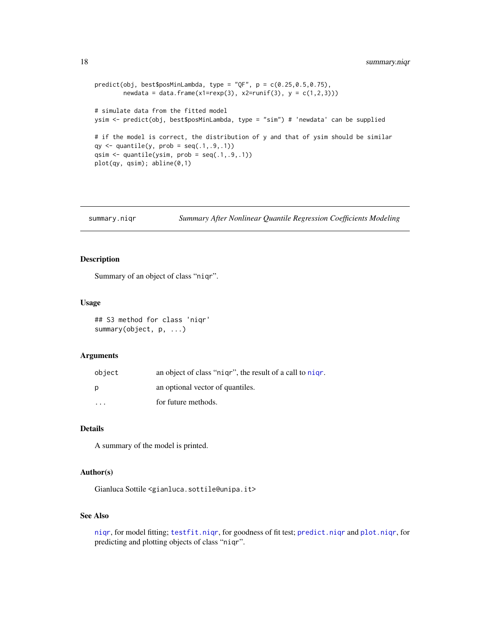```
predict(obj, best$posMinLambda, type = "QF", p = c(0.25, 0.5, 0.75),
        newdata = data frame(x1 = resp(3), x2 = runif(3), y = c(1, 2, 3))# simulate data from the fitted model
ysim <- predict(obj, best$posMinLambda, type = "sim") # 'newdata' can be supplied
# if the model is correct, the distribution of y and that of ysim should be similar
qy \leq quantile(y, prob = seq(.1,.9,.1))
qsim \leq quantile(ysim, prob = seq(.1,.9,.1))
plot(qy, qsim); abline(0,1)
```
<span id="page-17-1"></span>summary.niqr *Summary After Nonlinear Quantile Regression Coefficients Modeling*

## Description

Summary of an object of class "niqr".

## Usage

## S3 method for class 'niqr' summary(object, p, ...)

## Arguments

| object                  | an object of class "nigr", the result of a call to nigr. |
|-------------------------|----------------------------------------------------------|
| D                       | an optional vector of quantiles.                         |
| $\cdot$ $\cdot$ $\cdot$ | for future methods.                                      |

## Details

A summary of the model is printed.

## Author(s)

Gianluca Sottile <gianluca.sottile@unipa.it>

#### See Also

[niqr](#page-4-1), for model fitting; [testfit.niqr](#page-19-1), for goodness of fit test; [predict.niqr](#page-13-1) and [plot.niqr](#page-11-1), for predicting and plotting objects of class "niqr".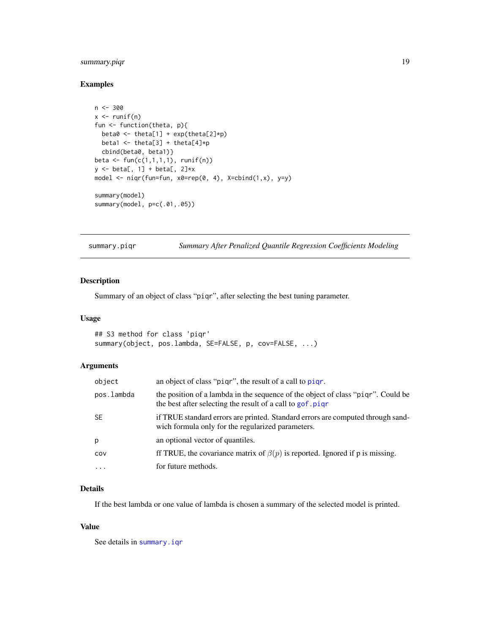## <span id="page-18-0"></span>summary.piqr 19

## Examples

```
n < -300x \leftarrow runif(n)fun <- function(theta, p){
 beta0 <- theta[1] + exp(theta[2]*p)
  beta1 <- theta[3] + theta[4]*p
  cbind(beta0, beta1)}
beta <- fun(c(1,1,1,1), runif(n))
y \leftarrow \text{beta}, 1] + beta[, 2]*x
model <- niqr(fun=fun, x0=rep(0, 4), X=cbind(1,x), y=y)
summary(model)
summary(model, p=c(.01,.05))
```
<span id="page-18-1"></span>summary.piqr *Summary After Penalized Quantile Regression Coefficients Modeling*

## Description

Summary of an object of class "piqr", after selecting the best tuning parameter.

#### Usage

```
## S3 method for class 'piqr'
summary(object, pos.lambda, SE=FALSE, p, cov=FALSE, ...)
```
## Arguments

| object     | an object of class "pigr", the result of a call to pigr.                                                                                      |
|------------|-----------------------------------------------------------------------------------------------------------------------------------------------|
| pos.lambda | the position of a lambda in the sequence of the object of class "pigr". Could be<br>the best after selecting the result of a call to gof.pigr |
| SE         | if TRUE standard errors are printed. Standard errors are computed through sand-<br>wich formula only for the regularized parameters.          |
| D.         | an optional vector of quantiles.                                                                                                              |
| cov        | ff TRUE, the covariance matrix of $\beta(p)$ is reported. Ignored if p is missing.                                                            |
| $\cdots$   | for future methods.                                                                                                                           |

## Details

If the best lambda or one value of lambda is chosen a summary of the selected model is printed.

#### Value

See details in [summary.iqr](#page-0-0)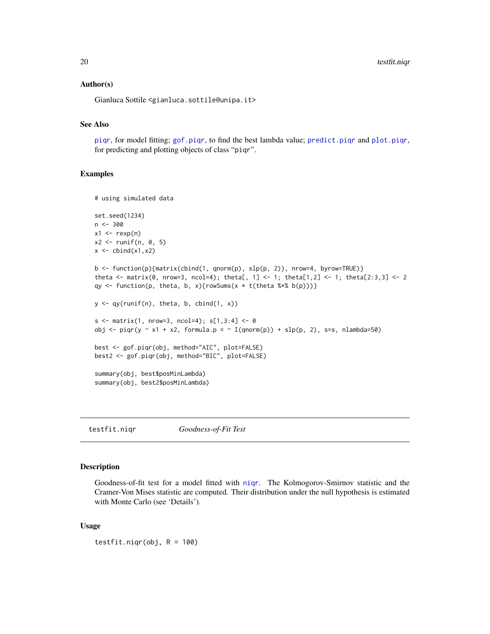#### <span id="page-19-0"></span>Author(s)

Gianluca Sottile <gianluca.sottile@unipa.it>

## See Also

[piqr](#page-7-1), for model fitting; [gof.piqr](#page-2-1), to find the best lambda value; [predict.piqr](#page-15-1) and [plot.piqr](#page-12-1), for predicting and plotting objects of class "piqr".

#### Examples

```
# using simulated data
set.seed(1234)
n <- 300
x1 \leftarrow \text{rev}(n)x2 \le runif(n, 0, 5)
x \leftarrow \text{cbind}(x1, x2)b <- function(p){matrix(cbind(1, qnorm(p), slp(p, 2)), nrow=4, byrow=TRUE)}
theta <- matrix(0, nrow=3, ncol=4); theta[, 1] <- 1; theta[1,2] <- 1; theta[2:3,3] <- 2
qy <- function(p, theta, b, x){rowSums(x * t(theta %*% b(p)))}
y \leftarrow qy(runif(n), theta, b, chind(1, x))s \leq - matrix(1, nrow=3, ncol=4); s[1,3:4] \leq 0obj <- piqr(y ~ x1 + x2, formula.p = ~ I(qnorm(p)) + slp(p, 2), s=s, nlambda=50)
best <- gof.piqr(obj, method="AIC", plot=FALSE)
best2 <- gof.piqr(obj, method="BIC", plot=FALSE)
summary(obj, best$posMinLambda)
summary(obj, best2$posMinLambda)
```
<span id="page-19-1"></span>testfit.niqr *Goodness-of-Fit Test*

#### Description

Goodness-of-fit test for a model fitted with [niqr](#page-4-1). The Kolmogorov-Smirnov statistic and the Cramer-Von Mises statistic are computed. Their distribution under the null hypothesis is estimated with Monte Carlo (see 'Details').

#### Usage

testfit.niqr(obj,  $R = 100$ )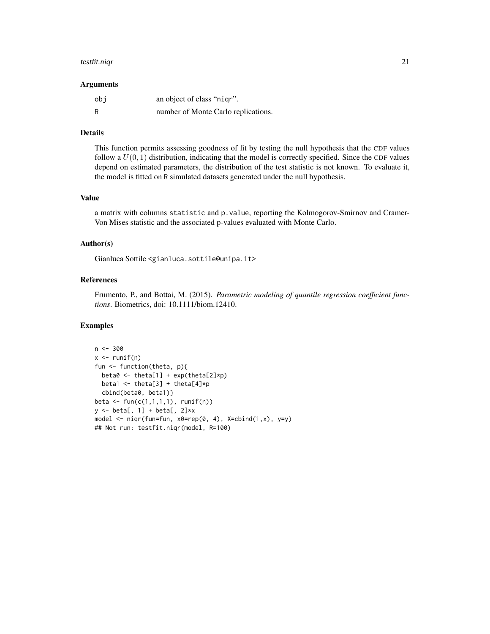#### testfit.niqr 21

#### Arguments

| obi | an object of class "nigr".          |
|-----|-------------------------------------|
| R   | number of Monte Carlo replications. |

#### Details

This function permits assessing goodness of fit by testing the null hypothesis that the CDF values follow a  $U(0, 1)$  distribution, indicating that the model is correctly specified. Since the CDF values depend on estimated parameters, the distribution of the test statistic is not known. To evaluate it, the model is fitted on R simulated datasets generated under the null hypothesis.

## Value

a matrix with columns statistic and p.value, reporting the Kolmogorov-Smirnov and Cramer-Von Mises statistic and the associated p-values evaluated with Monte Carlo.

## Author(s)

Gianluca Sottile <gianluca.sottile@unipa.it>

## References

Frumento, P., and Bottai, M. (2015). *Parametric modeling of quantile regression coefficient functions*. Biometrics, doi: 10.1111/biom.12410.

```
n <- 300
x \leftarrow runif(n)fun <- function(theta, p){
  beta0 \leq theta[1] + exp(theta[2]*p)
  beta1 <- theta[3] + theta[4]*p
  cbind(beta0, beta1)}
beta <- fun(c(1,1,1,1), runif(n))
y <- beta[, 1] + beta[, 2]*x
model \leq niqr(fun=fun, x0=rep(0, 4), X=cbind(1,x), y=y)
## Not run: testfit.niqr(model, R=100)
```